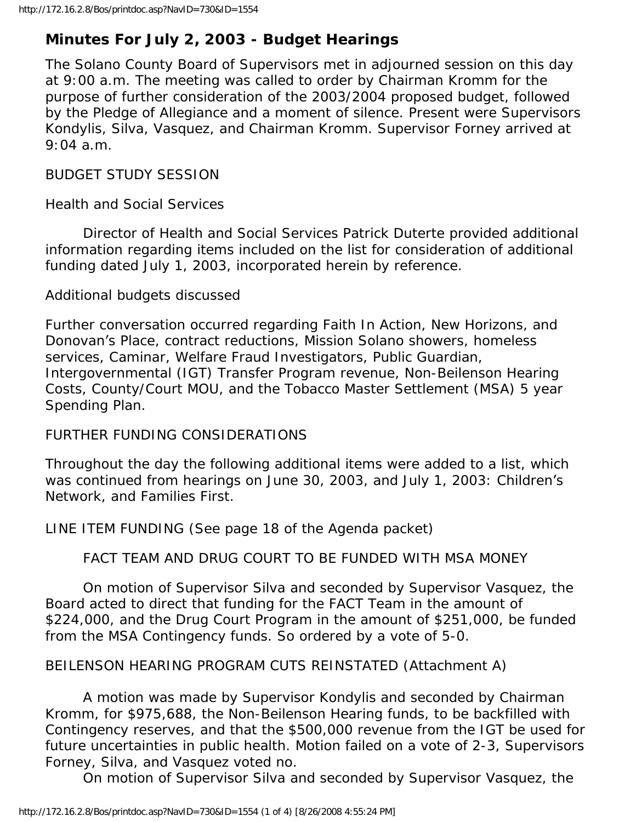# **Minutes For July 2, 2003 - Budget Hearings**

The Solano County Board of Supervisors met in adjourned session on this day at 9:00 a.m. The meeting was called to order by Chairman Kromm for the purpose of further consideration of the 2003/2004 proposed budget, followed by the Pledge of Allegiance and a moment of silence. Present were Supervisors Kondylis, Silva, Vasquez, and Chairman Kromm. Supervisor Forney arrived at 9:04 a.m.

### BUDGET STUDY SESSION

Health and Social Services

 Director of Health and Social Services Patrick Duterte provided additional information regarding items included on the list for consideration of additional funding dated July 1, 2003, incorporated herein by reference.

Additional budgets discussed

Further conversation occurred regarding Faith In Action, New Horizons, and Donovan's Place, contract reductions, Mission Solano showers, homeless services, Caminar, Welfare Fraud Investigators, Public Guardian, Intergovernmental (IGT) Transfer Program revenue, Non-Beilenson Hearing Costs, County/Court MOU, and the Tobacco Master Settlement (MSA) 5 year Spending Plan.

## FURTHER FUNDING CONSIDERATIONS

Throughout the day the following additional items were added to a list, which was continued from hearings on June 30, 2003, and July 1, 2003: Children's Network, and Families First.

LINE ITEM FUNDING (See page 18 of the Agenda packet)

FACT TEAM AND DRUG COURT TO BE FUNDED WITH MSA MONEY

 On motion of Supervisor Silva and seconded by Supervisor Vasquez, the Board acted to direct that funding for the FACT Team in the amount of \$224,000, and the Drug Court Program in the amount of \$251,000, be funded from the MSA Contingency funds. So ordered by a vote of 5-0.

## BEILENSON HEARING PROGRAM CUTS REINSTATED (Attachment A)

 A motion was made by Supervisor Kondylis and seconded by Chairman Kromm, for \$975,688, the Non-Beilenson Hearing funds, to be backfilled with Contingency reserves, and that the \$500,000 revenue from the IGT be used for future uncertainties in public health. Motion failed on a vote of 2-3, Supervisors Forney, Silva, and Vasquez voted no.

On motion of Supervisor Silva and seconded by Supervisor Vasquez, the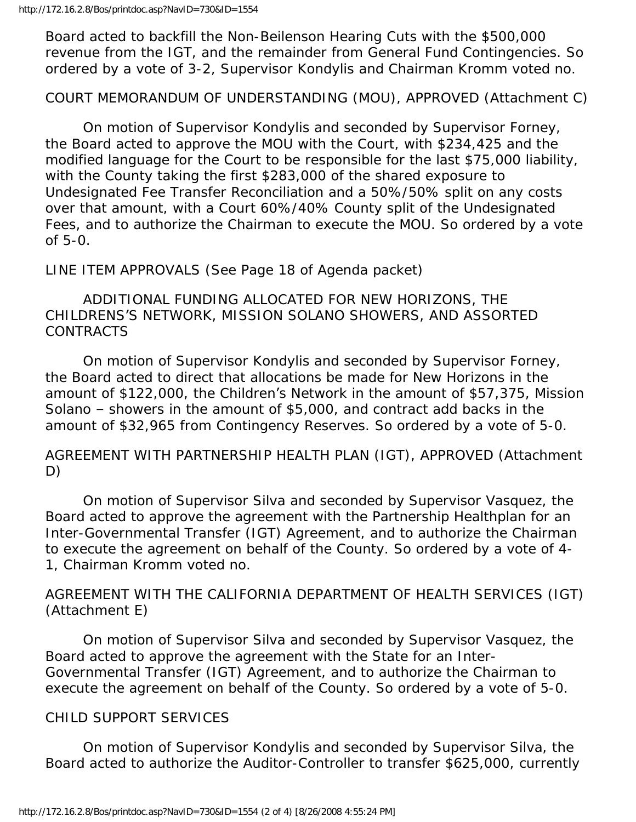Board acted to backfill the Non-Beilenson Hearing Cuts with the \$500,000 revenue from the IGT, and the remainder from General Fund Contingencies. So ordered by a vote of 3-2, Supervisor Kondylis and Chairman Kromm voted no.

COURT MEMORANDUM OF UNDERSTANDING (MOU), APPROVED (Attachment C)

 On motion of Supervisor Kondylis and seconded by Supervisor Forney, the Board acted to approve the MOU with the Court, with \$234,425 and the modified language for the Court to be responsible for the last \$75,000 liability, with the County taking the first \$283,000 of the shared exposure to Undesignated Fee Transfer Reconciliation and a 50%/50% split on any costs over that amount, with a Court 60%/40% County split of the Undesignated Fees, and to authorize the Chairman to execute the MOU. So ordered by a vote of 5-0.

LINE ITEM APPROVALS (See Page 18 of Agenda packet)

 ADDITIONAL FUNDING ALLOCATED FOR NEW HORIZONS, THE CHILDRENS'S NETWORK, MISSION SOLANO SHOWERS, AND ASSORTED CONTRACTS

 On motion of Supervisor Kondylis and seconded by Supervisor Forney, the Board acted to direct that allocations be made for New Horizons in the amount of \$122,000, the Children's Network in the amount of \$57,375, Mission Solano – showers in the amount of \$5,000, and contract add backs in the amount of \$32,965 from Contingency Reserves. So ordered by a vote of 5-0.

AGREEMENT WITH PARTNERSHIP HEALTH PLAN (IGT), APPROVED (Attachment D)

 On motion of Supervisor Silva and seconded by Supervisor Vasquez, the Board acted to approve the agreement with the Partnership Healthplan for an Inter-Governmental Transfer (IGT) Agreement, and to authorize the Chairman to execute the agreement on behalf of the County. So ordered by a vote of 4- 1, Chairman Kromm voted no.

AGREEMENT WITH THE CALIFORNIA DEPARTMENT OF HEALTH SERVICES (IGT) (Attachment E)

 On motion of Supervisor Silva and seconded by Supervisor Vasquez, the Board acted to approve the agreement with the State for an Inter-Governmental Transfer (IGT) Agreement, and to authorize the Chairman to execute the agreement on behalf of the County. So ordered by a vote of 5-0.

#### CHILD SUPPORT SERVICES

 On motion of Supervisor Kondylis and seconded by Supervisor Silva, the Board acted to authorize the Auditor-Controller to transfer \$625,000, currently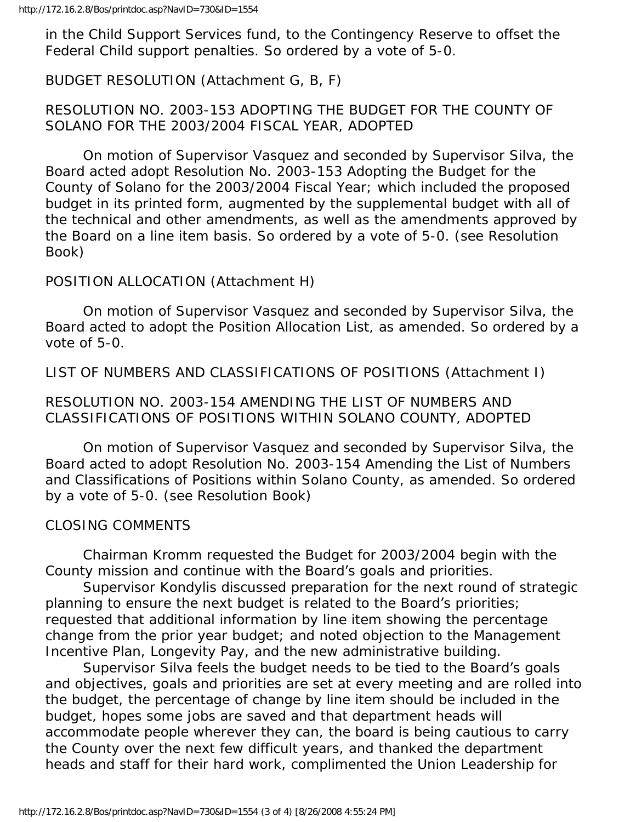in the Child Support Services fund, to the Contingency Reserve to offset the Federal Child support penalties. So ordered by a vote of 5-0.

BUDGET RESOLUTION (Attachment G, B, F)

#### RESOLUTION NO. 2003-153 ADOPTING THE BUDGET FOR THE COUNTY OF SOLANO FOR THE 2003/2004 FISCAL YEAR, ADOPTED

 On motion of Supervisor Vasquez and seconded by Supervisor Silva, the Board acted adopt Resolution No. 2003-153 Adopting the Budget for the County of Solano for the 2003/2004 Fiscal Year; which included the proposed budget in its printed form, augmented by the supplemental budget with all of the technical and other amendments, as well as the amendments approved by the Board on a line item basis. So ordered by a vote of 5-0. (see Resolution Book)

#### POSITION ALLOCATION (Attachment H)

 On motion of Supervisor Vasquez and seconded by Supervisor Silva, the Board acted to adopt the Position Allocation List, as amended. So ordered by a vote of 5-0.

LIST OF NUMBERS AND CLASSIFICATIONS OF POSITIONS (Attachment I)

#### RESOLUTION NO. 2003-154 AMENDING THE LIST OF NUMBERS AND CLASSIFICATIONS OF POSITIONS WITHIN SOLANO COUNTY, ADOPTED

 On motion of Supervisor Vasquez and seconded by Supervisor Silva, the Board acted to adopt Resolution No. 2003-154 Amending the List of Numbers and Classifications of Positions within Solano County, as amended. So ordered by a vote of 5-0. (see Resolution Book)

#### CLOSING COMMENTS

 Chairman Kromm requested the Budget for 2003/2004 begin with the County mission and continue with the Board's goals and priorities.

 Supervisor Kondylis discussed preparation for the next round of strategic planning to ensure the next budget is related to the Board's priorities; requested that additional information by line item showing the percentage change from the prior year budget; and noted objection to the Management Incentive Plan, Longevity Pay, and the new administrative building.

 Supervisor Silva feels the budget needs to be tied to the Board's goals and objectives, goals and priorities are set at every meeting and are rolled into the budget, the percentage of change by line item should be included in the budget, hopes some jobs are saved and that department heads will accommodate people wherever they can, the board is being cautious to carry the County over the next few difficult years, and thanked the department heads and staff for their hard work, complimented the Union Leadership for